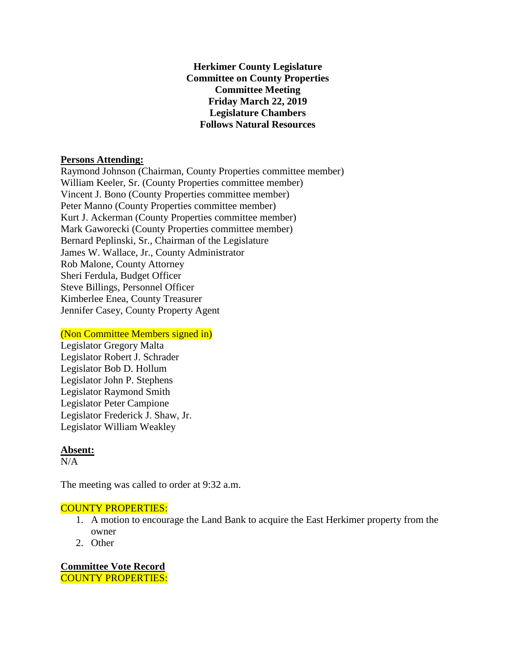**Herkimer County Legislature Committee on County Properties Committee Meeting Friday March 22, 2019 Legislature Chambers Follows Natural Resources**

## **Persons Attending:**

Raymond Johnson (Chairman, County Properties committee member) William Keeler, Sr. (County Properties committee member) Vincent J. Bono (County Properties committee member) Peter Manno (County Properties committee member) Kurt J. Ackerman (County Properties committee member) Mark Gaworecki (County Properties committee member) Bernard Peplinski, Sr., Chairman of the Legislature James W. Wallace, Jr., County Administrator Rob Malone, County Attorney Sheri Ferdula, Budget Officer Steve Billings, Personnel Officer Kimberlee Enea, County Treasurer Jennifer Casey, County Property Agent

## (Non Committee Members signed in)

Legislator Gregory Malta Legislator Robert J. Schrader Legislator Bob D. Hollum Legislator John P. Stephens Legislator Raymond Smith Legislator Peter Campione Legislator Frederick J. Shaw, Jr. Legislator William Weakley

## **Absent:**

 $N/A$ 

The meeting was called to order at 9:32 a.m.

## COUNTY PROPERTIES:

- 1. A motion to encourage the Land Bank to acquire the East Herkimer property from the owner
- 2. Other

**Committee Vote Record** COUNTY PROPERTIES: